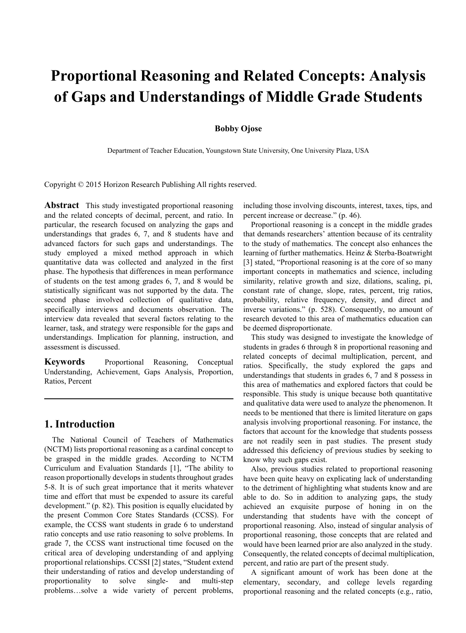# **Proportional Reasoning and Related Concepts: Analysis of Gaps and Understandings of Middle Grade Students**

#### **Bobby Ojose**

Department of Teacher Education, Youngstown State University, One University Plaza, USA

Copyright © 2015 Horizon Research Publishing All rights reserved.

**Abstract** This study investigated proportional reasoning and the related concepts of decimal, percent, and ratio. In particular, the research focused on analyzing the gaps and understandings that grades 6, 7, and 8 students have and advanced factors for such gaps and understandings. The study employed a mixed method approach in which quantitative data was collected and analyzed in the first phase. The hypothesis that differences in mean performance of students on the test among grades 6, 7, and 8 would be statistically significant was not supported by the data. The second phase involved collection of qualitative data, specifically interviews and documents observation. The interview data revealed that several factors relating to the learner, task, and strategy were responsible for the gaps and understandings. Implication for planning, instruction, and assessment is discussed.

**Keywords** Proportional Reasoning, Conceptual Understanding, Achievement, Gaps Analysis, Proportion, Ratios, Percent

## **1. Introduction**

The National Council of Teachers of Mathematics (NCTM) lists proportional reasoning as a cardinal concept to be grasped in the middle grades. According to NCTM Curriculum and Evaluation Standards [1], "The ability to reason proportionally develops in students throughout grades 5-8. It is of such great importance that it merits whatever time and effort that must be expended to assure its careful development." (p. 82). This position is equally elucidated by the present Common Core States Standards (CCSS). For example, the CCSS want students in grade 6 to understand ratio concepts and use ratio reasoning to solve problems. In grade 7, the CCSS want instructional time focused on the critical area of developing understanding of and applying proportional relationships. CCSSI [2] states, "Student extend their understanding of ratios and develop understanding of proportionality to solve single- and multi-step problems…solve a wide variety of percent problems,

including those involving discounts, interest, taxes, tips, and percent increase or decrease." (p. 46).

Proportional reasoning is a concept in the middle grades that demands researchers' attention because of its centrality to the study of mathematics. The concept also enhances the learning of further mathematics. Heinz & Sterba-Boatwright [3] stated, "Proportional reasoning is at the core of so many important concepts in mathematics and science, including similarity, relative growth and size, dilations, scaling, pi, constant rate of change, slope, rates, percent, trig ratios, probability, relative frequency, density, and direct and inverse variations." (p. 528). Consequently, no amount of research devoted to this area of mathematics education can be deemed disproportionate.

This study was designed to investigate the knowledge of students in grades 6 through 8 in proportional reasoning and related concepts of decimal multiplication, percent, and ratios. Specifically, the study explored the gaps and understandings that students in grades 6, 7 and 8 possess in this area of mathematics and explored factors that could be responsible. This study is unique because both quantitative and qualitative data were used to analyze the phenomenon. It needs to be mentioned that there is limited literature on gaps analysis involving proportional reasoning. For instance, the factors that account for the knowledge that students possess are not readily seen in past studies. The present study addressed this deficiency of previous studies by seeking to know why such gaps exist.

Also, previous studies related to proportional reasoning have been quite heavy on explicating lack of understanding to the detriment of highlighting what students know and are able to do. So in addition to analyzing gaps, the study achieved an exquisite purpose of honing in on the understanding that students have with the concept of proportional reasoning. Also, instead of singular analysis of proportional reasoning, those concepts that are related and would have been learned prior are also analyzed in the study. Consequently, the related concepts of decimal multiplication, percent, and ratio are part of the present study.

A significant amount of work has been done at the elementary, secondary, and college levels regarding proportional reasoning and the related concepts (e.g., ratio,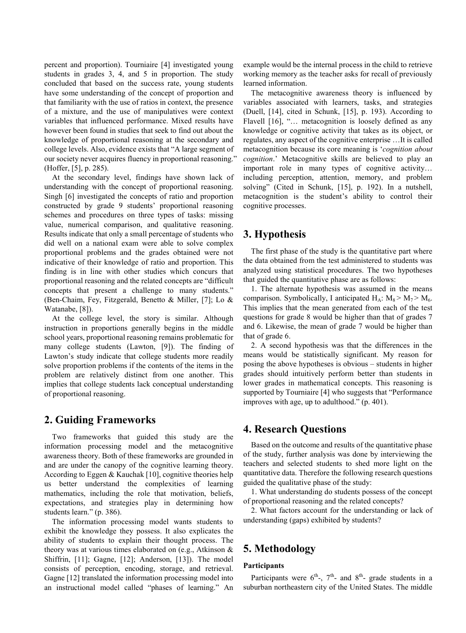percent and proportion). Tourniaire [4] investigated young students in grades 3, 4, and 5 in proportion. The study concluded that based on the success rate, young students have some understanding of the concept of proportion and that familiarity with the use of ratios in context, the presence of a mixture, and the use of manipulatives were context variables that influenced performance. Mixed results have however been found in studies that seek to find out about the knowledge of proportional reasoning at the secondary and college levels. Also, evidence exists that "A large segment of our society never acquires fluency in proportional reasoning.' (Hoffer, [5], p. 285).

At the secondary level, findings have shown lack of understanding with the concept of proportional reasoning. Singh [6] investigated the concepts of ratio and proportion constructed by grade 9 students' proportional reasoning schemes and procedures on three types of tasks: missing value, numerical comparison, and qualitative reasoning. Results indicate that only a small percentage of students who did well on a national exam were able to solve complex proportional problems and the grades obtained were not indicative of their knowledge of ratio and proportion. This finding is in line with other studies which concurs that proportional reasoning and the related concepts are "difficult concepts that present a challenge to many students." (Ben-Chaim, Fey, Fitzgerald, Benetto & Miller, [7]; Lo & Watanabe, [8]).

At the college level, the story is similar. Although instruction in proportions generally begins in the middle school years, proportional reasoning remains problematic for many college students (Lawton, [9]). The finding of Lawton's study indicate that college students more readily solve proportion problems if the contents of the items in the problem are relatively distinct from one another. This implies that college students lack conceptual understanding of proportional reasoning.

## **2. Guiding Frameworks**

Two frameworks that guided this study are the information processing model and the metacognitive awareness theory. Both of these frameworks are grounded in and are under the canopy of the cognitive learning theory. According to Eggen & Kauchak [10], cognitive theories help us better understand the complexities of learning mathematics, including the role that motivation, beliefs, expectations, and strategies play in determining how students learn." (p. 386).

The information processing model wants students to exhibit the knowledge they possess. It also explicates the ability of students to explain their thought process. The theory was at various times elaborated on (e.g., Atkinson & Shiffrin, [11]; Gagne, [12]; Anderson, [13]). The model consists of perception, encoding, storage, and retrieval. Gagne [12] translated the information processing model into an instructional model called "phases of learning." An

example would be the internal process in the child to retrieve working memory as the teacher asks for recall of previously learned information.

The metacognitive awareness theory is influenced by variables associated with learners, tasks, and strategies (Duell, [14], cited in Schunk, [15], p. 193). According to Flavell [16], "... metacognition is loosely defined as any knowledge or cognitive activity that takes as its object, or regulates, any aspect of the cognitive enterprise …It is called metacognition because its core meaning is '*cognition about cognition*.' Metacognitive skills are believed to play an important role in many types of cognitive activity… including perception, attention, memory, and problem solving" (Cited in Schunk, [15], p. 192). In a nutshell, metacognition is the student's ability to control their cognitive processes.

## **3. Hypothesis**

The first phase of the study is the quantitative part where the data obtained from the test administered to students was analyzed using statistical procedures. The two hypotheses that guided the quantitative phase are as follows:

1. The alternate hypothesis was assumed in the means comparison. Symbolically, I anticipated  $H_A$ :  $M_8 > M_7 > M_6$ . This implies that the mean generated from each of the test questions for grade 8 would be higher than that of grades 7 and 6. Likewise, the mean of grade 7 would be higher than that of grade 6.

2. A second hypothesis was that the differences in the means would be statistically significant. My reason for posing the above hypotheses is obvious – students in higher grades should intuitively perform better than students in lower grades in mathematical concepts. This reasoning is supported by Tourniaire [4] who suggests that "Performance improves with age, up to adulthood." (p. 401).

## **4. Research Questions**

Based on the outcome and results of the quantitative phase of the study, further analysis was done by interviewing the teachers and selected students to shed more light on the quantitative data. Therefore the following research questions guided the qualitative phase of the study:

1. What understanding do students possess of the concept of proportional reasoning and the related concepts?

2. What factors account for the understanding or lack of understanding (gaps) exhibited by students?

# **5. Methodology**

#### **Participants**

Participants were  $6^{th}$ ,  $7^{th}$ - and  $8^{th}$ - grade students in a suburban northeastern city of the United States. The middle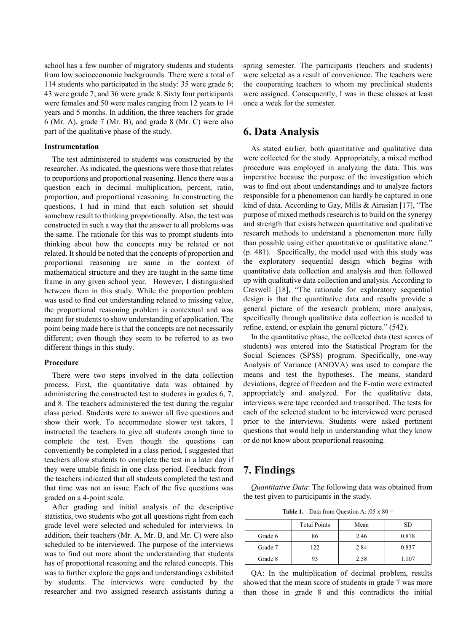school has a few number of migratory students and students from low socioeconomic backgrounds. There were a total of 114 students who participated in the study: 35 were grade 6; 43 were grade 7; and 36 were grade 8. Sixty four participants were females and 50 were males ranging from 12 years to 14 years and 5 months. In addition, the three teachers for grade 6 (Mr. A), grade 7 (Mr. B), and grade 8 (Mr. C) were also part of the qualitative phase of the study.

#### **Instrumentation**

The test administered to students was constructed by the researcher. As indicated, the questions were those that relates to proportions and proportional reasoning. Hence there was a question each in decimal multiplication, percent, ratio, proportion, and proportional reasoning. In constructing the questions, I had in mind that each solution set should somehow result to thinking proportionally. Also, the test was constructed in such a way that the answer to all problems was the same. The rationale for this was to prompt students into thinking about how the concepts may be related or not related. It should be noted that the concepts of proportion and proportional reasoning are same in the context of mathematical structure and they are taught in the same time frame in any given school year. However, I distinguished between them in this study. While the proportion problem was used to find out understanding related to missing value, the proportional reasoning problem is contextual and was meant for students to show understanding of application. The point being made here is that the concepts are not necessarily different; even though they seem to be referred to as two different things in this study.

#### **Procedure**

There were two steps involved in the data collection process. First, the quantitative data was obtained by administering the constructed test to students in grades 6, 7, and 8. The teachers administered the test during the regular class period. Students were to answer all five questions and show their work. To accommodate slower test takers, I instructed the teachers to give all students enough time to complete the test. Even though the questions can conveniently be completed in a class period, I suggested that teachers allow students to complete the test in a later day if they were unable finish in one class period. Feedback from the teachers indicated that all students completed the test and that time was not an issue. Each of the five questions was graded on a 4-point scale.

After grading and initial analysis of the descriptive statistics, two students who got all questions right from each grade level were selected and scheduled for interviews. In addition, their teachers (Mr. A, Mr. B, and Mr. C) were also scheduled to be interviewed. The purpose of the interviews was to find out more about the understanding that students has of proportional reasoning and the related concepts. This was to further explore the gaps and understandings exhibited by students. The interviews were conducted by the researcher and two assigned research assistants during a

spring semester. The participants (teachers and students) were selected as a result of convenience. The teachers were the cooperating teachers to whom my preclinical students were assigned. Consequently, I was in these classes at least once a week for the semester.

## **6. Data Analysis**

As stated earlier, both quantitative and qualitative data were collected for the study. Appropriately, a mixed method procedure was employed in analyzing the data. This was imperative because the purpose of the investigation which was to find out about understandings and to analyze factors responsible for a phenomenon can hardly be captured in one kind of data. According to Gay, Mills & Airasian [17], "The purpose of mixed methods research is to build on the synergy and strength that exists between quantitative and qualitative research methods to understand a phenomenon more fully than possible using either quantitative or qualitative alone." (p. 481). Specifically, the model used with this study was the exploratory sequential design which begins with quantitative data collection and analysis and then followed up with qualitative data collection and analysis. According to Creswell [18], "The rationale for exploratory sequential design is that the quantitative data and results provide a general picture of the research problem; more analysis, specifically through qualitative data collection is needed to refine, extend, or explain the general picture." (542).

In the quantitative phase, the collected data (test scores of students) was entered into the Statistical Program for the Social Sciences (SPSS) program. Specifically, one-way Analysis of Variance (ANOVA) was used to compare the means and test the hypotheses. The means, standard deviations, degree of freedom and the F-ratio were extracted appropriately and analyzed. For the qualitative data, interviews were tape recorded and transcribed. The tests for each of the selected student to be interviewed were perused prior to the interviews. Students were asked pertinent questions that would help in understanding what they know or do not know about proportional reasoning.

## **7. Findings**

*Quantitative Data*: The following data was obtained from the test given to participants in the study.

**Table 1.** Data from Question A:  $.05 \times 80 =$ 

|         | <b>Total Points</b> | Mean | <b>SD</b> |
|---------|---------------------|------|-----------|
| Grade 6 | 86                  | 2.46 | 0.878     |
| Grade 7 | 122                 | 2.84 | 0.837     |
| Grade 8 | 93                  | 2.58 | 1.107     |

QA: In the multiplication of decimal problem, results showed that the mean score of students in grade 7 was more than those in grade 8 and this contradicts the initial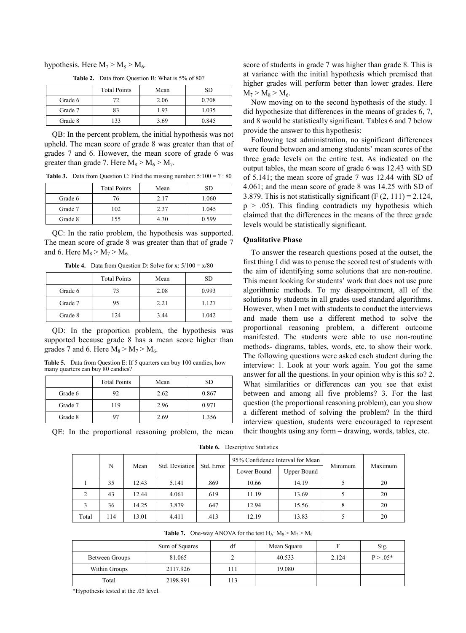hypothesis. Here  $M_7 > M_8 > M_6$ .

|         | <b>Total Points</b> | Mean | SD    |
|---------|---------------------|------|-------|
| Grade 6 | 72                  | 2.06 | 0.708 |
| Grade 7 | 83                  | 1.93 | 1.035 |
| Grade 8 | 133                 | 3.69 | 0.845 |

**Table 2.** Data from Question B: What is 5% of 80?

QB: In the percent problem, the initial hypothesis was not upheld. The mean score of grade 8 was greater than that of grades 7 and 6. However, the mean score of grade 6 was greater than grade 7. Here  $M_8 > M_6 > M_7$ .

**Table 3.** Data from Question C: Find the missing number:  $5:100 = ? : 80$ 

|         | <b>Total Points</b> | Mean | SD    |
|---------|---------------------|------|-------|
| Grade 6 | 76                  | 2.17 | 1.060 |
| Grade 7 | 102                 | 2.37 | 1.045 |
| Grade 8 | 155                 | 4.30 | 0.599 |

QC: In the ratio problem, the hypothesis was supported. The mean score of grade 8 was greater than that of grade 7 and 6. Here  $M_8 > M_7 > M_6$ .

**Table 4.** Data from Question D: Solve for x:  $5/100 = x/80$ 

|         | <b>Total Points</b> | Mean | <b>SD</b> |
|---------|---------------------|------|-----------|
| Grade 6 | 73                  | 2.08 | 0.993     |
| Grade 7 | 95                  | 2.21 | 1.127     |
| Grade 8 | 124                 | 3.44 | 1.042     |

QD: In the proportion problem, the hypothesis was supported because grade 8 has a mean score higher than grades 7 and 6. Here  $M_8 > M_7 > M_6$ .

**Table 5.** Data from Question E: If 5 quarters can buy 100 candies, how many quarters can buy 80 candies?

|         | <b>Total Points</b> | Mean | SD    |
|---------|---------------------|------|-------|
| Grade 6 | 92                  | 2.62 | 0.867 |
| Grade 7 | 119                 | 2.96 | 0.971 |
| Grade 8 |                     | 2.69 | 1.356 |

QE: In the proportional reasoning problem, the mean

score of students in grade 7 was higher than grade 8. This is at variance with the initial hypothesis which premised that higher grades will perform better than lower grades. Here  $M_7 > M_8 > M_6.$ 

Now moving on to the second hypothesis of the study. I did hypothesize that differences in the means of grades 6, 7, and 8 would be statistically significant. Tables 6 and 7 below provide the answer to this hypothesis:

Following test administration, no significant differences were found between and among students' mean scores of the three grade levels on the entire test. As indicated on the output tables, the mean score of grade 6 was 12.43 with SD of 5.141; the mean score of grade 7 was 12.44 with SD of 4.061; and the mean score of grade 8 was 14.25 with SD of 3.879. This is not statistically significant  $(F (2, 111) = 2.124,$  $p > .05$ ). This finding contradicts my hypothesis which claimed that the differences in the means of the three grade levels would be statistically significant.

#### **Qualitative Phase**

To answer the research questions posed at the outset, the first thing I did was to peruse the scored test of students with the aim of identifying some solutions that are non-routine. This meant looking for students' work that does not use pure algorithmic methods. To my disappointment, all of the solutions by students in all grades used standard algorithms. However, when I met with students to conduct the interviews and made them use a different method to solve the proportional reasoning problem, a different outcome manifested. The students were able to use non-routine methods- diagrams, tables, words, etc. to show their work. The following questions were asked each student during the interview: 1. Look at your work again. You got the same answer for all the questions. In your opinion why is this so? 2. What similarities or differences can you see that exist between and among all five problems? 3. For the last question (the proportional reasoning problem), can you show a different method of solving the problem? In the third interview question, students were encouraged to represent their thoughts using any form – drawing, words, tables, etc.

**Table 6.** Descriptive Statistics

| N                           |     | Mean  | Std. Deviation | Std. Error  | 95% Confidence Interval for Mean |       | Minimum | Maximum |
|-----------------------------|-----|-------|----------------|-------------|----------------------------------|-------|---------|---------|
|                             |     |       |                | Lower Bound | <b>Upper Bound</b>               |       |         |         |
|                             | 35  | 12.43 | 5.141          | .869        | 10.66                            | 14.19 |         | 20      |
| $\mathcal{D}_{\mathcal{L}}$ | 43  | 12.44 | 4.061          | .619        | 11.19                            | 13.69 |         | 20      |
|                             | 36  | 14.25 | 3.879          | .647        | 12.94                            | 15.56 |         | 20      |
| Total                       | 114 | 13.01 | 4.411          | .413        | 12.19                            | 13.83 |         | 20      |

**Table 7.** One-way ANOVA for the test  $H_A$ :  $M_8 > M_7 > M_6$ 

|                | Sum of Squares | df    | Mean Square |       | Sig.        |
|----------------|----------------|-------|-------------|-------|-------------|
| Between Groups | 81.065         | ∸     | 40.533      | 2.124 | $P > 0.05*$ |
| Within Groups  | 2117.926       | ı 1 1 | 19.080      |       |             |
| Total          | 2198.991       | 13    |             |       |             |

\*Hypothesis tested at the .05 level.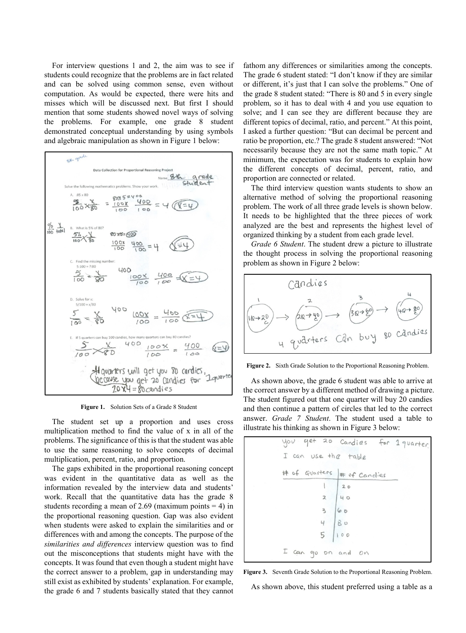For interview questions 1 and 2, the aim was to see if students could recognize that the problems are in fact related and can be solved using common sense, even without computation. As would be expected, there were hits and misses which will be discussed next. But first I should mention that some students showed novel ways of solving the problems. For example, one grade 8 student demonstrated conceptual understanding by using symbols and algebraic manipulation as shown in Figure 1 below:



**Figure 1.** Solution Sets of a Grade 8 Student

The student set up a proportion and uses cross multiplication method to find the value of x in all of the problems. The significance of this is that the student was able to use the same reasoning to solve concepts of decimal multiplication, percent, ratio, and proportion.

The gaps exhibited in the proportional reasoning concept was evident in the quantitative data as well as the information revealed by the interview data and students' work. Recall that the quantitative data has the grade 8 students recording a mean of 2.69 (maximum points  $= 4$ ) in the proportional reasoning question. Gap was also evident when students were asked to explain the similarities and or differences with and among the concepts. The purpose of the *similarities and differences* interview question was to find out the misconceptions that students might have with the concepts. It was found that even though a student might have the correct answer to a problem, gap in understanding may still exist as exhibited by students' explanation. For example, the grade 6 and 7 students basically stated that they cannot

fathom any differences or similarities among the concepts. The grade 6 student stated: "I don't know if they are similar or different, it's just that I can solve the problems." One of the grade 8 student stated: "There is 80 and 5 in every single problem, so it has to deal with 4 and you use equation to solve; and I can see they are different because they are different topics of decimal, ratio, and percent." At this point, I asked a further question: "But can decimal be percent and ratio be proportion, etc.? The grade 8 student answered: "Not necessarily because they are not the same math topic." At minimum, the expectation was for students to explain how the different concepts of decimal, percent, ratio, and proportion are connected or related.

The third interview question wants students to show an alternative method of solving the proportional reasoning problem. The work of all three grade levels is shown below. It needs to be highlighted that the three pieces of work analyzed are the best and represents the highest level of organized thinking by a student from each grade level.

*Grade 6 Student*. The student drew a picture to illustrate the thought process in solving the proportional reasoning problem as shown in Figure 2 below:



**Figure 2.** Sixth Grade Solution to the Proportional Reasoning Problem.

As shown above, the grade 6 student was able to arrive at the correct answer by a different method of drawing a picture. The student figured out that one quarter will buy 20 candies and then continue a pattern of circles that led to the correct answer. *Grade 7 Student*. The student used a table to illustrate his thinking as shown in Figure 3 below:

| I can use the table          | you get 20 Candies for 1 quarter. |
|------------------------------|-----------------------------------|
| # of Quarters   # of Candies |                                   |
|                              | $20$                              |
| 2   40                       |                                   |
| 3  60                        |                                   |
| 4   80                       |                                   |
| $5 \mid 100$                 |                                   |
| I can go on and on           |                                   |



As shown above, this student preferred using a table as a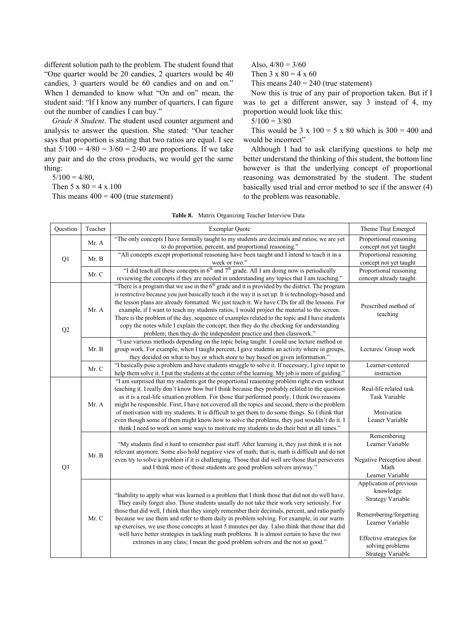different solution path to the problem. The student found that "One quarter would be 20 candies, 2 quarters would be 40 candies, 3 quarters would be 60 candies and on and on." When I demanded to know what "On and on" mean, the student said: "If I know any number of quarters, I can figure out the number of candies I can buy."

*Grade 8 Student*. The student used counter argument and analysis to answer the question. She stated: "Our teacher says that proportion is stating that two ratios are equal. I see that  $5/100 = 4/80 = 3/60 = 2/40$  are proportions. If we take any pair and do the cross products, we would get the same thing:

 $5/100 = 4/80$ ,

Then  $5 \times 80 = 4 \times 100$ 

This means  $400 = 400$  (true statement)

Also,  $4/80 = 3/60$ 

Then  $3 \times 80 = 4 \times 60$ 

This means  $240 = 240$  (true statement)

Now this is true of any pair of proportion taken. But if I was to get a different answer, say 3 instead of 4, my proportion would look like this:

 $5/100 = 3/80$ 

This would be  $3 \times 100 = 5 \times 80$  which is  $300 = 400$  and would be incorrect"

Although I had to ask clarifying questions to help me better understand the thinking of this student, the bottom line however is that the underlying concept of proportional reasoning was demonstrated by the student. The student basically used trial and error method to see if the answer (4) to the problem was reasonable.

| Question       | Teacher | Exemplar Quote                                                                                                                                                                                                                                                                                              | Theme That Emerged        |
|----------------|---------|-------------------------------------------------------------------------------------------------------------------------------------------------------------------------------------------------------------------------------------------------------------------------------------------------------------|---------------------------|
|                | Mr. A   | "The only concepts I have formally taught to my students are decimals and ratios; we are yet                                                                                                                                                                                                                | Proportional reasoning    |
|                |         | to do proportion, percent, and proportional reasoning."                                                                                                                                                                                                                                                     | concept not yet taught    |
| Q1             | Mr. B   | "All concepts except proportional reasoning have been taught and I intend to teach it in a                                                                                                                                                                                                                  | Proportional reasoning    |
|                |         | week or two."                                                                                                                                                                                                                                                                                               | concept not yet taught    |
|                | Mr. C   | "I did teach all these concepts in $6th$ and $7th$ grade. All I am doing now is periodically                                                                                                                                                                                                                | Proportional reasoning    |
|                |         | reviewing the concepts if they are needed in understanding any topics that I am teaching."                                                                                                                                                                                                                  | concept already taught.   |
|                |         | "There is a program that we use in the $6th$ grade and it is provided by the district. The program<br>is restrictive because you just basically teach it the way it is set up. It is technology-based and<br>the lesson plans are already formatted. We just teach it. We have CDs for all the lessons. For |                           |
|                | Mr. A   | example, if I want to teach my students ratios, I would project the material to the screen.                                                                                                                                                                                                                 | Prescribed method of      |
|                |         | There is the problem of the day, sequence of examples related to the topic and I have students                                                                                                                                                                                                              | teaching                  |
|                |         | copy the notes while I explain the concept; then they do the checking for understanding                                                                                                                                                                                                                     |                           |
| Q2             |         | problem; then they do the independent practice and then classwork."                                                                                                                                                                                                                                         |                           |
|                |         | "I use various methods depending on the topic being taught. I could use lecture method or                                                                                                                                                                                                                   |                           |
|                | Mr. B   | group work. For example, when I taught percent, I gave students an activity where in groups,                                                                                                                                                                                                                | Lectures/ Group work      |
|                |         | they decided on what to buy or which store to buy based on given information."                                                                                                                                                                                                                              |                           |
|                | Mr. C   | "I basically pose a problem and have students struggle to solve it. If necessary, I give input to                                                                                                                                                                                                           | Learner-centered          |
|                |         | help them solve it. I put the students at the center of the learning. My job is more of guiding."                                                                                                                                                                                                           | instruction               |
|                |         | "I am surprised that my students got the proportional reasoning problem right even without                                                                                                                                                                                                                  |                           |
|                |         | teaching it. I really don't know how but I think because they probably related to the question                                                                                                                                                                                                              | Real-life related task    |
|                |         | as it is a real-life situation problem. For those that performed poorly, I think two reasons                                                                                                                                                                                                                | <b>Task Variable</b>      |
|                | Mr. A   | might be responsible. First, I have not covered all the topics and second, there is the problem                                                                                                                                                                                                             |                           |
|                |         | of motivation with my students. It is difficult to get them to do some things. So I think that                                                                                                                                                                                                              | Motivation                |
|                |         | even though some of them might know how to solve the problems, they just wouldn't do it. I                                                                                                                                                                                                                  | Leaner Variable           |
|                |         | think I need to work on some ways to motivate my students to do their best at all times."                                                                                                                                                                                                                   |                           |
|                |         |                                                                                                                                                                                                                                                                                                             | Remembering               |
|                |         | "My students find it hard to remember past stuff. After learning it, they just think it is not                                                                                                                                                                                                              | Learner Variable          |
|                | Mr. B   | relevant anymore. Some also hold negative view of math; that is, math is difficult and do not                                                                                                                                                                                                               |                           |
|                |         | even try to solve a problem if it is challenging. Those that did well are those that perseveres                                                                                                                                                                                                             | Negative Perception about |
| Q <sub>3</sub> |         | and I think most of those students are good problem solvers anyway."                                                                                                                                                                                                                                        | Math                      |
|                |         |                                                                                                                                                                                                                                                                                                             | Learner Variable          |
|                |         |                                                                                                                                                                                                                                                                                                             | Application of previous   |
|                |         | "Inability to apply what was learned is a problem that I think those that did not do well have.                                                                                                                                                                                                             | knowledge                 |
|                |         | They easily forget also. Those students usually do not take their work very seriously. For                                                                                                                                                                                                                  | <b>Strategy Variable</b>  |
|                |         | those that did well, I think that they simply remember their decimals, percent, and ratio partly                                                                                                                                                                                                            |                           |
|                | Mr. C   | because we use them and refer to them daily in problem solving. For example, in our warm                                                                                                                                                                                                                    | Remembering/forgetting    |
|                |         | up exercises, we use those concepts at least 5 minutes per day. I also think that those that did                                                                                                                                                                                                            | Learner Variable          |
|                |         | well have better strategies in tackling math problems. It is almost certain to have the two                                                                                                                                                                                                                 |                           |
|                |         | extremes in any class; I mean the good problem solvers and the not so good."                                                                                                                                                                                                                                | Effective strategies for  |
|                |         |                                                                                                                                                                                                                                                                                                             | solving problems          |
|                |         |                                                                                                                                                                                                                                                                                                             | <b>Strategy Variable</b>  |

|  | <b>Table 8.</b> Matrix Organizing Teacher Interview Data |  |  |
|--|----------------------------------------------------------|--|--|
|  |                                                          |  |  |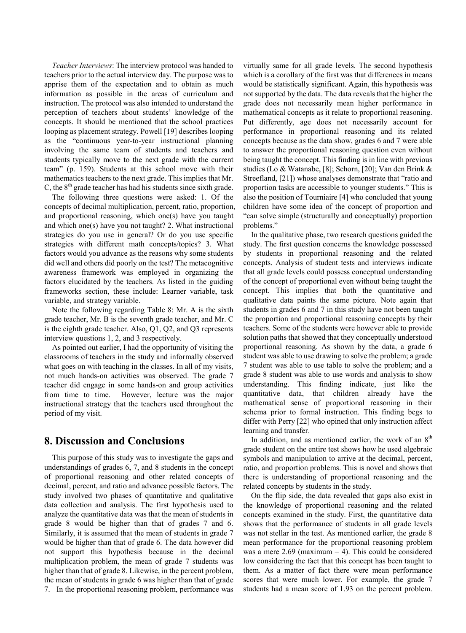*Teacher Interviews*: The interview protocol was handed to teachers prior to the actual interview day. The purpose was to apprise them of the expectation and to obtain as much information as possible in the areas of curriculum and instruction. The protocol was also intended to understand the perception of teachers about students' knowledge of the concepts. It should be mentioned that the school practices looping as placement strategy. Powell [19] describes looping as the "continuous year-to-year instructional planning involving the same team of students and teachers and students typically move to the next grade with the current team" (p. 159). Students at this school move with their mathematics teachers to the next grade. This implies that Mr. C, the  $8<sup>th</sup>$  grade teacher has had his students since sixth grade.

The following three questions were asked: 1. Of the concepts of decimal multiplication, percent, ratio, proportion, and proportional reasoning, which one(s) have you taught and which one(s) have you not taught? 2. What instructional strategies do you use in general? Or do you use specific strategies with different math concepts/topics? 3. What factors would you advance as the reasons why some students did well and others did poorly on the test? The metacognitive awareness framework was employed in organizing the factors elucidated by the teachers. As listed in the guiding frameworks section, these include: Learner variable, task variable, and strategy variable.

Note the following regarding Table 8: Mr. A is the sixth grade teacher, Mr. B is the seventh grade teacher, and Mr. C is the eighth grade teacher. Also, Q1, Q2, and Q3 represents interview questions 1, 2, and 3 respectively.

As pointed out earlier, I had the opportunity of visiting the classrooms of teachers in the study and informally observed what goes on with teaching in the classes. In all of my visits, not much hands-on activities was observed. The grade 7 teacher did engage in some hands-on and group activities from time to time. However, lecture was the major instructional strategy that the teachers used throughout the period of my visit.

## **8. Discussion and Conclusions**

This purpose of this study was to investigate the gaps and understandings of grades 6, 7, and 8 students in the concept of proportional reasoning and other related concepts of decimal, percent, and ratio and advance possible factors. The study involved two phases of quantitative and qualitative data collection and analysis. The first hypothesis used to analyze the quantitative data was that the mean of students in grade 8 would be higher than that of grades 7 and 6. Similarly, it is assumed that the mean of students in grade 7 would be higher than that of grade 6. The data however did not support this hypothesis because in the decimal multiplication problem, the mean of grade 7 students was higher than that of grade 8. Likewise, in the percent problem, the mean of students in grade 6 was higher than that of grade 7. In the proportional reasoning problem, performance was

virtually same for all grade levels. The second hypothesis which is a corollary of the first was that differences in means would be statistically significant. Again, this hypothesis was not supported by the data. The data reveals that the higher the grade does not necessarily mean higher performance in mathematical concepts as it relate to proportional reasoning. Put differently, age does not necessarily account for performance in proportional reasoning and its related concepts because as the data show, grades 6 and 7 were able to answer the proportional reasoning question even without being taught the concept. This finding is in line with previous studies (Lo & Watanabe, [8]; Schorn, [20]; Van den Brink & Streefland, [21]) whose analyses demonstrate that "ratio and proportion tasks are accessible to younger students." This is also the position of Tourniaire [4] who concluded that young children have some idea of the concept of proportion and "can solve simple (structurally and conceptually) proportion problems."

In the qualitative phase, two research questions guided the study. The first question concerns the knowledge possessed by students in proportional reasoning and the related concepts. Analysis of student tests and interviews indicate that all grade levels could possess conceptual understanding of the concept of proportional even without being taught the concept. This implies that both the quantitative and qualitative data paints the same picture. Note again that students in grades 6 and 7 in this study have not been taught the proportion and proportional reasoning concepts by their teachers. Some of the students were however able to provide solution paths that showed that they conceptually understood proportional reasoning. As shown by the data, a grade 6 student was able to use drawing to solve the problem; a grade 7 student was able to use table to solve the problem; and a grade 8 student was able to use words and analysis to show understanding. This finding indicate, just like the quantitative data, that children already have the mathematical sense of proportional reasoning in their schema prior to formal instruction. This finding begs to differ with Perry [22] who opined that only instruction affect learning and transfer.

In addition, and as mentioned earlier, the work of an  $8<sup>th</sup>$ grade student on the entire test shows how he used algebraic symbols and manipulation to arrive at the decimal, percent, ratio, and proportion problems. This is novel and shows that there is understanding of proportional reasoning and the related concepts by students in the study.

On the flip side, the data revealed that gaps also exist in the knowledge of proportional reasoning and the related concepts examined in the study. First, the quantitative data shows that the performance of students in all grade levels was not stellar in the test. As mentioned earlier, the grade 8 mean performance for the proportional reasoning problem was a mere  $2.69$  (maximum = 4). This could be considered low considering the fact that this concept has been taught to them. As a matter of fact there were mean performance scores that were much lower. For example, the grade 7 students had a mean score of 1.93 on the percent problem.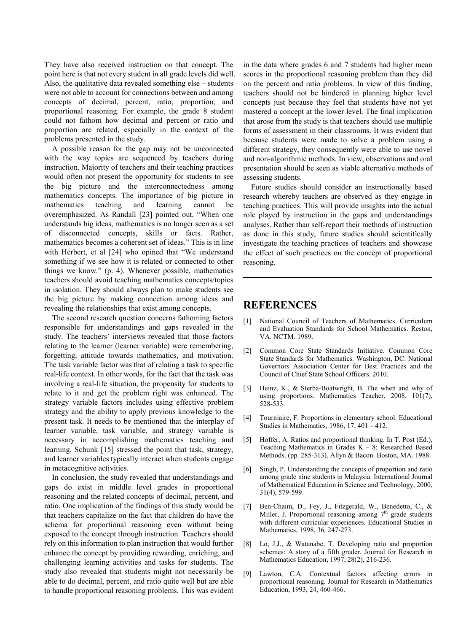They have also received instruction on that concept. The point here is that not every student in all grade levels did well. Also, the qualitative data revealed something else – students were not able to account for connections between and among concepts of decimal, percent, ratio, proportion, and proportional reasoning. For example, the grade 8 student could not fathom how decimal and percent or ratio and proportion are related, especially in the context of the problems presented in the study.

A possible reason for the gap may not be unconnected with the way topics are sequenced by teachers during instruction. Majority of teachers and their teaching practices would often not present the opportunity for students to see the big picture and the interconnectedness among mathematics concepts. The importance of big picture in mathematics teaching and learning cannot be overemphasized. As Randall [23] pointed out, "When one understands big ideas, mathematics is no longer seen as a set of disconnected concepts, skills or facts. Rather, mathematics becomes a coherent set of ideas." This is in line with Herbert, et al [24] who opined that "We understand something if we see how it is related or connected to other things we know." (p. 4). Whenever possible, mathematics teachers should avoid teaching mathematics concepts/topics in isolation. They should always plan to make students see the big picture by making connection among ideas and revealing the relationships that exist among concepts.

The second research question concerns fathoming factors responsible for understandings and gaps revealed in the study. The teachers' interviews revealed that those factors relating to the learner (learner variable) were remembering, forgetting, attitude towards mathematics, and motivation. The task variable factor was that of relating a task to specific real-life context. In other words, for the fact that the task was involving a real-life situation, the propensity for students to relate to it and get the problem right was enhanced. The strategy variable factors includes using effective problem strategy and the ability to apply previous knowledge to the present task. It needs to be mentioned that the interplay of learner variable, task variable, and strategy variable is necessary in accomplishing mathematics teaching and learning. Schunk [15] stressed the point that task, strategy, and learner variables typically interact when students engage in metacognitive activities.

In conclusion, the study revealed that understandings and gaps do exist in middle level grades in proportional reasoning and the related concepts of decimal, percent, and ratio. One implication of the findings of this study would be that teachers capitalize on the fact that children do have the schema for proportional reasoning even without being exposed to the concept through instruction. Teachers should rely on this information to plan instruction that would further enhance the concept by providing rewarding, enriching, and challenging learning activities and tasks for students. The study also revealed that students might not necessarily be able to do decimal, percent, and ratio quite well but are able to handle proportional reasoning problems. This was evident

in the data where grades 6 and 7 students had higher mean scores in the proportional reasoning problem than they did on the percent and ratio problems. In view of this finding, teachers should not be hindered in planning higher level concepts just because they feel that students have not yet mastered a concept at the lower level. The final implication that arose from the study is that teachers should use multiple forms of assessment in their classrooms. It was evident that because students were made to solve a problem using a different strategy, they consequently were able to use novel and non-algorithmic methods. In view, observations and oral presentation should be seen as viable alternative methods of assessing students.

Future studies should consider an instructionally based research whereby teachers are observed as they engage in teaching practices. This will provide insights into the actual role played by instruction in the gaps and understandings analyses. Rather than self-report their methods of instruction as done in this study, future studies should scientifically investigate the teaching practices of teachers and showcase the effect of such practices on the concept of proportional reasoning.

## **REFERENCES**

- [1] National Council of Teachers of Mathematics. Curriculum and Evaluation Standards for School Mathematics. Reston, VA. NCTM. 1989.
- [2] Common Core State Standards Initiative. Common Core State Standards for Mathematics*.* Washington, DC: National Governors Association Center for Best Practices and the Council of Chief State School Officers. 2010.
- [3] Heinz, K., & Sterba-Boatwright, B. The when and why of using proportions. Mathematics Teacher, 2008, 101(7), 528-533.
- [4] Tourniaire, F. Proportions in elementary school. Educational Studies in Mathematics, 1986, 17, 401 – 412.
- [5] Hoffer, A. Ratios and proportional thinking. In T. Post (Ed.), Teaching Mathematics in Grades  $K - 8$ : Researched Based Methods. (pp. 285-313). Allyn & Bacon. Boston, MA. 1988.
- [6] Singh, P. Understanding the concepts of proportion and ratio among grade nine students in Malaysia. International Journal of Mathematical Education in Science and Technology, 2000, 31(4), 579-599.
- [7] Ben-Chaim, D., Fey, J., Fitzgerald, W., Benedetto, C., & Miller, J. Proportional reasoning among  $7<sup>th</sup>$  grade students with different curricular experiences. Educational Studies in Mathematics, 1998, 36*,* 247-273.
- [8] Lo, J.J., & Watanabe, T. Developing ratio and proportion schemes: A story of a fifth grader. Journal for Research in Mathematics Education, 1997, 28(2), 216-236.
- [9] Lawton, C.A. Contextual factors affecting errors in proportional reasoning. Journal for Research in Mathematics Education, 1993, 24, 460-466.